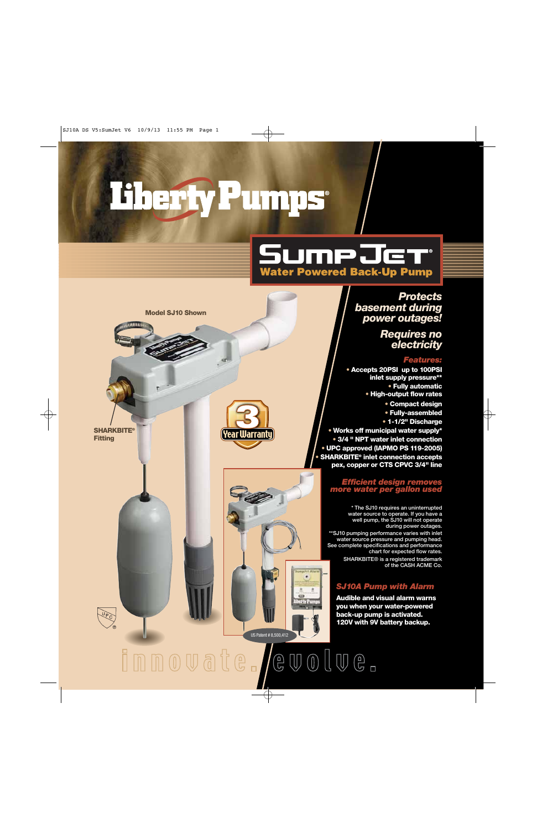# Therty Pumps

## **SumpJet Water Powered Back-Up Pump**

*Protects basement during power outages!* 

> *Requires no electricity*

#### *Features:*

**• Accepts 20PSI up to 100PSI inlet supply pressure\*\* • Fully automatic • High-output flow rates**

**• Compact design**

**• Fully-assembled**

**• 1-1/2" Discharge • Works off municipal water supply\* • 3/4 " NPT water inlet connection • UPC approved (IAPMO PS 119-2005) • SHARKBITE® inlet connection accepts pex, copper or CTS CPVC 3/4" line** 

#### *Efficient design removes more water per gallon used*

**\* The SJ10 requires an uninterrupted water source to operate. If you have a well pump, the SJ10 will not operate during power outages.**

**\*\*SJ10 pumping performance varies with inlet water source pressure and pumping head. See complete specifications and performance chart for expected flow rates.**

**SHARKBITE® is a registered trademark of the CASH ACME Co.**

#### *SJ10A Pump with Alarm*

**Audible and visual alarm warns you when your water-powered back-up pump is activated. 120V with 9V battery backup.**



**SHARKBITE® Fitting**



US Patent # 8,500,412

innovate. evolve.

×